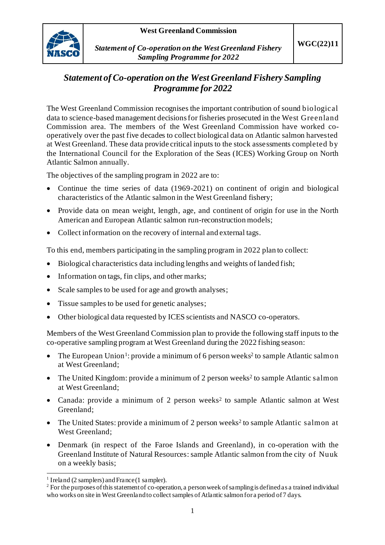

*Statement of Co-operation on the West Greenland Fishery Sampling Programme for 2022*

## *Statement of Co-operation on the West Greenland Fishery Sampling Programme for 2022*

The West Greenland Commission recognises the important contribution of sound biological data to science-based management decisions for fisheries prosecuted in the West Greenland Commission area. The members of the West Greenland Commission have worked cooperatively over the past five decades to collect biological data on Atlantic salmon harvested at West Greenland. These data provide critical inputs to the stock assessments completed by the International Council for the Exploration of the Seas (ICES) Working Group on North Atlantic Salmon annually.

The objectives of the sampling program in 2022 are to:

- Continue the time series of data (1969-2021) on continent of origin and biological characteristics of the Atlantic salmon in the West Greenland fishery;
- Provide data on mean weight, length, age, and continent of origin for use in the North American and European Atlantic salmon run-reconstruction models;
- Collect information on the recovery of internal and external tags.

To this end, members participating in the sampling program in 2022 plan to collect:

- Biological characteristics data including lengths and weights of landed fish;
- Information on tags, fin clips, and other marks;
- Scale samples to be used for age and growth analyses;
- Tissue samples to be used for genetic analyses;
- Other biological data requested by ICES scientists and NASCO co-operators.

Members of the West Greenland Commission plan to provide the following staff inputs to the co-operative sampling program at West Greenland during the 2022 fishing season:

- The European Union<sup>1</sup>: provide a minimum of 6 person weeks<sup>2</sup> to sample Atlantic salmon at West Greenland;
- The United Kingdom: provide a minimum of 2 person weeks<sup>2</sup> to sample Atlantic salmon at West Greenland;
- Canada: provide a minimum of 2 person weeks<sup>2</sup> to sample Atlantic salmon at West Greenland;
- The United States: provide a minimum of 2 person weeks<sup>2</sup> to sample Atlantic salmon at West Greenland;
- Denmark (in respect of the Faroe Islands and Greenland), in co-operation with the Greenland Institute of Natural Resources:sample Atlantic salmon from the city of Nuuk on a weekly basis;

<sup>&</sup>lt;sup>1</sup> Ireland (2 samplers) and France (1 sampler).

<sup>&</sup>lt;sup>2</sup> For the purposes of this statement of co-operation, a person week of sampling is defined as a trained individual who works on site in West Greenland to collect samples of Atlantic salmon for a period of 7 days.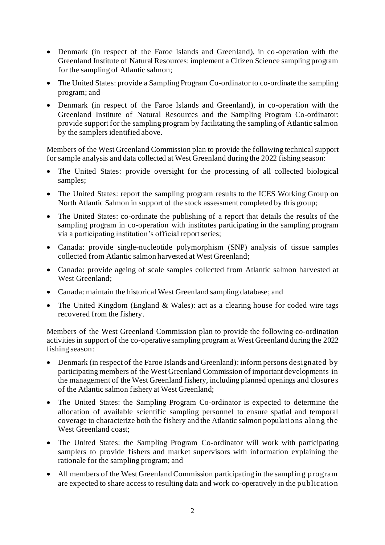- Denmark (in respect of the Faroe Islands and Greenland), in co-operation with the Greenland Institute of Natural Resources: implement a Citizen Science sampling program for the sampling of Atlantic salmon;
- The United States: provide a Sampling Program Co-ordinator to co-ordinate the sampling program; and
- Denmark (in respect of the Faroe Islands and Greenland), in co-operation with the Greenland Institute of Natural Resources and the Sampling Program Co-ordinator: provide support for the sampling program by facilitating the sampling of Atlantic salmon by the samplers identified above.

Members of the West Greenland Commission plan to provide the following technical support for sample analysis and data collected at West Greenland during the 2022 fishing season:

- The United States: provide oversight for the processing of all collected biological samples;
- The United States: report the sampling program results to the ICES Working Group on North Atlantic Salmon in support of the stock assessment completed by this group;
- The United States: co-ordinate the publishing of a report that details the results of the sampling program in co-operation with institutes participating in the sampling program via a participating institution's official report series;
- Canada: provide single-nucleotide polymorphism (SNP) analysis of tissue samples collected from Atlantic salmon harvested at West Greenland;
- Canada: provide ageing of scale samples collected from Atlantic salmon harvested at West Greenland;
- Canada: maintain the historical West Greenland sampling database; and
- The United Kingdom (England & Wales): act as a clearing house for coded wire tags recovered from the fishery.

Members of the West Greenland Commission plan to provide the following co-ordination activities in support of the co-operative sampling program at West Greenland during the 2022 fishing season:

- Denmark (in respect of the Faroe Islands and Greenland): inform persons designated by participating members of the West Greenland Commission of important developments in the management of the West Greenland fishery, including planned openings and closure s of the Atlantic salmon fishery at West Greenland;
- The United States: the Sampling Program Co-ordinator is expected to determine the allocation of available scientific sampling personnel to ensure spatial and temporal coverage to characterize both the fishery and the Atlantic salmon populations along the West Greenland coast;
- The United States: the Sampling Program Co-ordinator will work with participating samplers to provide fishers and market supervisors with information explaining the rationale for the sampling program; and
- All members of the West Greenland Commission participating in the sampling program are expected to share access to resulting data and work co-operatively in the publication